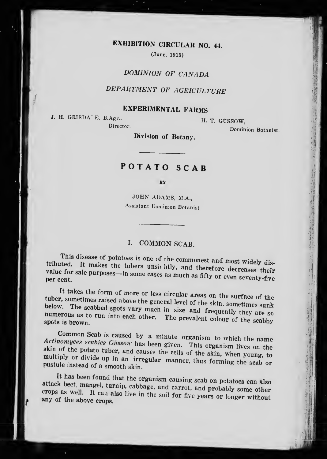## EXHIBITION CIRCULAR NO. 44.

(June, 1915)

## DOMINION OF CANADA

# DEPARTMENT OF AGRICULTURE

## EXPERIMENTAL FARMS

J. H. GRISDALE, B.Agr..

Director.

H. T. GUSSOW. Dominion Botanist.

15

1 **1** if:

fl

31

Division of Botany.

# POTATO SCAB

#### BY

JOHN ADAMS, M.A., Assistant Dominion Botanist

## I. COMMON SCAB.

I films disease of potatoes is one of the commonest and most widely dis-<br>tributed. It makes the tubers unsi. htly, and therefore decreases their<br>value for sale purposes, in some security. value for sale purposes-in some cases as much as fifty or even seventy-five per cent.

tuber, sometimes raised above the general leve<br>below. The scabbed spots vary much in size It takes the form of more or less circular areas on the surface of the below. The scabbed spots vary much in size and frequently they are sometimes unk numerous not to much in size and frequently they are so numerous as to run into each other. The prevalent colour of the scabby spots is brown.

Common Scab is caused by a minute organism to which the name  $\textit{Action}$  are  $\textit{Action}$  and  $\textit{G}$  and  $\textit{G}$  and  $\textit{G}$  are  $\textit{G}$  are  $\textit{G}$  are  $\textit{G}$  are  $\textit{G}$  are  $\textit{G}$  are  $\textit{G}$  are  $\textit{G}$  are  $\textit$ skin of the potato tuber, and causes the cells of the skin, when young, to multiply or divide up in an impact. multiply or divide up in an irregular manner, thus forming the scab or pustule instead of a smooth skin. pustule instead of a smooth skin.

attack beet, mangel, turnip,  $\frac{1}{2}$  band carrol, and probably some other  $\mathbf{r}^{\text{max}}$  the organism causing scab on potatoes can also crops as well. It can also live in the soil for five years or longer without any of the above crops.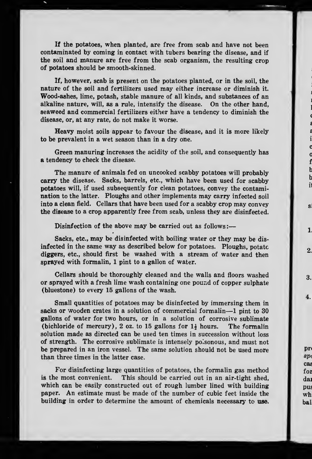If the potatoes, when planted, are free from scab and have not been contaminated by coming in contact with tubers bearing the disease, and if the soil and manure are free from the scab organism, the resulting crop of potatoes should be smooth-skinned,

If, however, scab is present on the potatoes planted, or in the soil, the nature of the soil and fertilizers used may either increase or diminish it. Wood-ashes, lime, potash, stable manure of all kinds, and substances of an alkaline nature, will, as a rule, intensify the disease. On the other hand, seaweed and commercial fertilizers either have a tendency to diminish the disease, or, at any rate, do not make it worse.

Heavy moist soils appear to favour the disease, and it is more likely to be prevalent in a wet season than in a dry one.

Green manuring increases the acidity of the soil, and consequently has a tendency to check the disease.

The manure of animals fed on uncooked scabby potatoes will probably carry the disease. Sacks, barrels, etc., which have been used for scabby potatoes will, if used subsequently for clean potatoes, convey the contamination to the latter. Ploughs and other implements may carry infected soil into a clean field. Cellars that have been used for a scabby crop may convey the disease to a crop apparently free from scab, unless they are disinfected.

Disinfection of the above may be carried out as follows :-

Sacks, etc., may be disinfected with boiling water or they may be dis infected in the same way as described below for potatoes. Ploughs, potato diggers, etc., should first be washed with a stream of water and then sprayed with formalin, 1 pint to a gallon of water.

Cellars should be thoroughly cleaned and the walls and floors washed or sprayed with a fresh lime wash containing one pound of copper sulphate (bluestone) to every 15 gallons of the wash.

Small quantities of potatoes may be disinfected by immersing them in sacks or wooden crates in <sup>a</sup> solution of commercial formalin—<sup>1</sup> pint to <sup>30</sup> gallons of water for two hours, or in a solution of corrosive sublimate (bichloride of mercury), 2 oz. to 15 gallons for  $1\frac{1}{2}$  hours. The formalin solution made as directed can be used ten times in succession without loss of strength. The corrosive sublimate is intensely poisonous, and must not be prepared in an iron vessel. The same solution should not be used more than three times in the latter case.

For disinfecting large quantities of potatoes, the formalin gas method is the most convenient. This should be carried out in an air-tight shed, which can be easily constructed out of rough lumber lined with building paper. An estimate must be made of the number of cubic feet inside the building in order to determine the amount of chemicals necessary to use.

pr  $sp<sub>0</sub>$ cas for dai pus wh bal

ś  $\mathbf{i}$ c  $\mathbf c$ f  $\mathbf{t}$  $\mathbf b$  $\mathbf{i}$ 

 $\mathbf{s}$ 

1

 $\overline{2}$ 

3.

4.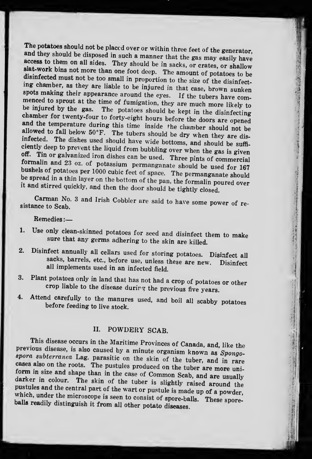The potatoes should not be placed over or within three feet of the generator, and they should be disposed in such a manner that the gas may easily have access to them on all sides. They should be in sacks, or crates, or shallow slat-work bins not more than one foot deep. The amount of potatoes to be disinfected must not be too small in proportion to the size of the disinf menced to sprout at the time of fumigation, they are much more likely to be injured by the gas. The potatoes should be kept in the disinfecting<br>chamber for twenty-four to forty-eight hours before the doors are opened<br>and the temperature during this time inside the chamber should not be<br>allowed be spread in a thin layer on the bottom of the pan, the formalin poured over it and stirred quickly, and then the door should be tightly closed.

Carman No. 3 and Irish Cobbler are said to have some power of resistance to Scah.

Remedies :

- 1. Use only clean-skinned potatoes for seed and disinfect them to make sure that any germs adhering to the skin are killed.
- 2. Disinfect annually all cellars used for storing potatoes. Disinfect all sacks, barrels, etc., before use, unless these are new. Disinfect all implements used in an infected field.
- 3. Plant potatoes only in land that has not had <sup>a</sup> crop of potatoes or other crop liable to the disease durirg the previous five years.

'If!

大学の活動のある まちょうちょう

-II-

 $\mathcal{L}$ 

m

4. Attend carefully to the manures used, and boil all scabby potatoes before feeding to live stock.

## II. POWDERY SCAB.

This disease occurs in the Maritime Provinces of Canada, and, like the previous disease, is also caused by a minute organism known as Spongoprevious uisease, is also caused by a minute organism known as  $Spongo-$ <br>spora subterranea Lag. parasitic on the skin of the tuber, and in rare cases also on the roots. The pustules produced on the tuber are more uniform in size and shape than in the case of Common Scab, and are usually darker in colour. The skin of the tuber is slightly raised around the pustules pustules and the central part of the wart or pustule is made up of a powder,<br>which, under the microscope is seen to consist of spore-balls. These spore-<br>balls readily distinguish it from all other potato diseases.